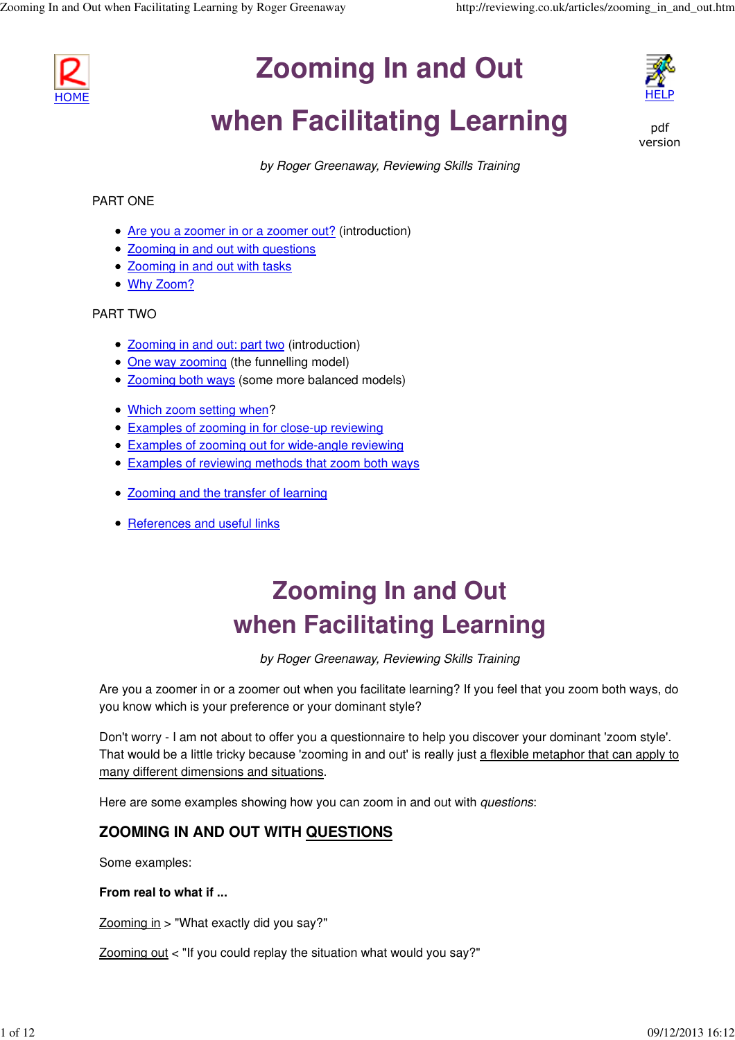

# **Zooming In and Out**



# **when Facilitating Learning**



by Roger Greenaway, Reviewing Skills Training

### PART ONE

- Are you a zoomer in or a zoomer out? (introduction)
- Zooming in and out with questions
- Zooming in and out with tasks
- Why Zoom?

### PART TWO

- Zooming in and out: part two (introduction)
- One way zooming (the funnelling model)
- Zooming both ways (some more balanced models)
- Which zoom setting when?
- Examples of zooming in for close-up reviewing
- **Examples of zooming out for wide-angle reviewing**
- Examples of reviewing methods that zoom both ways
- Zooming and the transfer of learning
- References and useful links

# **Zooming In and Out when Facilitating Learning**

by Roger Greenaway, Reviewing Skills Training

Are you a zoomer in or a zoomer out when you facilitate learning? If you feel that you zoom both ways, do you know which is your preference or your dominant style?

Don't worry - I am not about to offer you a questionnaire to help you discover your dominant 'zoom style'. That would be a little tricky because 'zooming in and out' is really just a flexible metaphor that can apply to many different dimensions and situations.

Here are some examples showing how you can zoom in and out with *questions*:

## **ZOOMING IN AND OUT WITH QUESTIONS**

Some examples:

### **From real to what if ...**

Zooming in > "What exactly did you say?"

Zooming out < "If you could replay the situation what would you say?"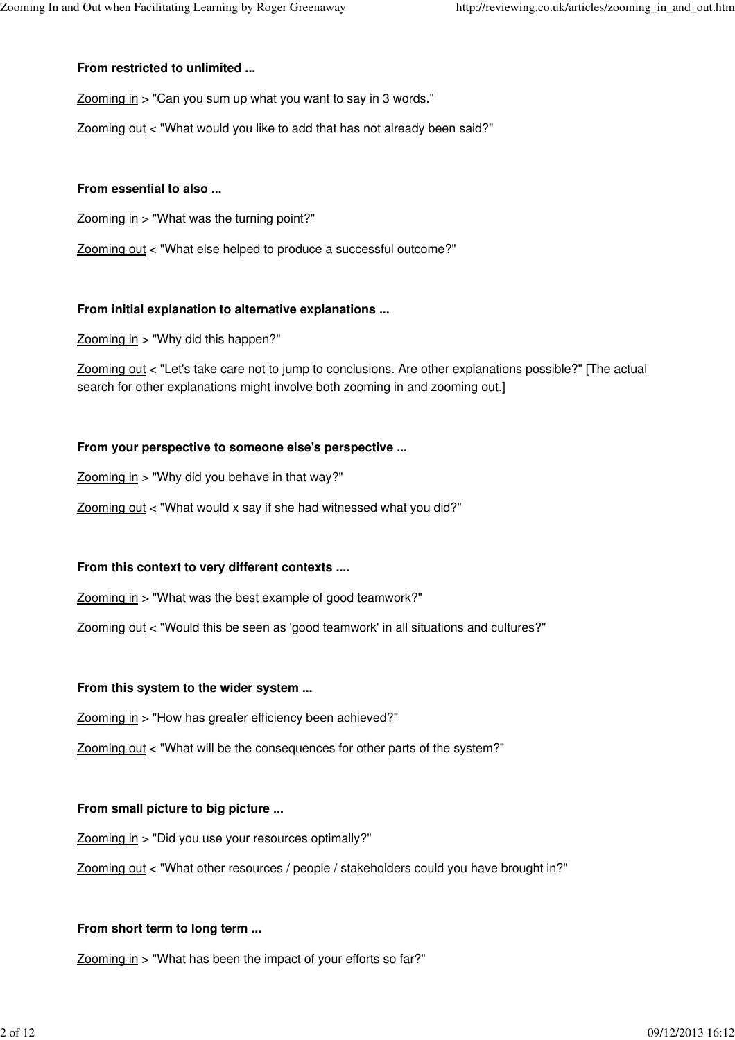### **From restricted to unlimited ...**

Zooming in > "Can you sum up what you want to say in 3 words."

Zooming out < "What would you like to add that has not already been said?"

### **From essential to also ...**

Zooming in > "What was the turning point?"

Zooming out < "What else helped to produce a successful outcome?"

### **From initial explanation to alternative explanations ...**

Zooming in > "Why did this happen?"

Zooming out < "Let's take care not to jump to conclusions. Are other explanations possible?" [The actual search for other explanations might involve both zooming in and zooming out.]

### **From your perspective to someone else's perspective ...**

 $Z$ ooming in > "Why did you behave in that way?"

Zooming out < "What would x say if she had witnessed what you did?"

### **From this context to very different contexts ....**

Zooming in > "What was the best example of good teamwork?"

Zooming out < "Would this be seen as 'good teamwork' in all situations and cultures?"

### **From this system to the wider system ...**

Zooming in > "How has greater efficiency been achieved?"

Zooming out < "What will be the consequences for other parts of the system?"

### **From small picture to big picture ...**

Zooming in > "Did you use your resources optimally?"

Zooming out < "What other resources / people / stakeholders could you have brought in?"

### **From short term to long term ...**

Zooming in > "What has been the impact of your efforts so far?"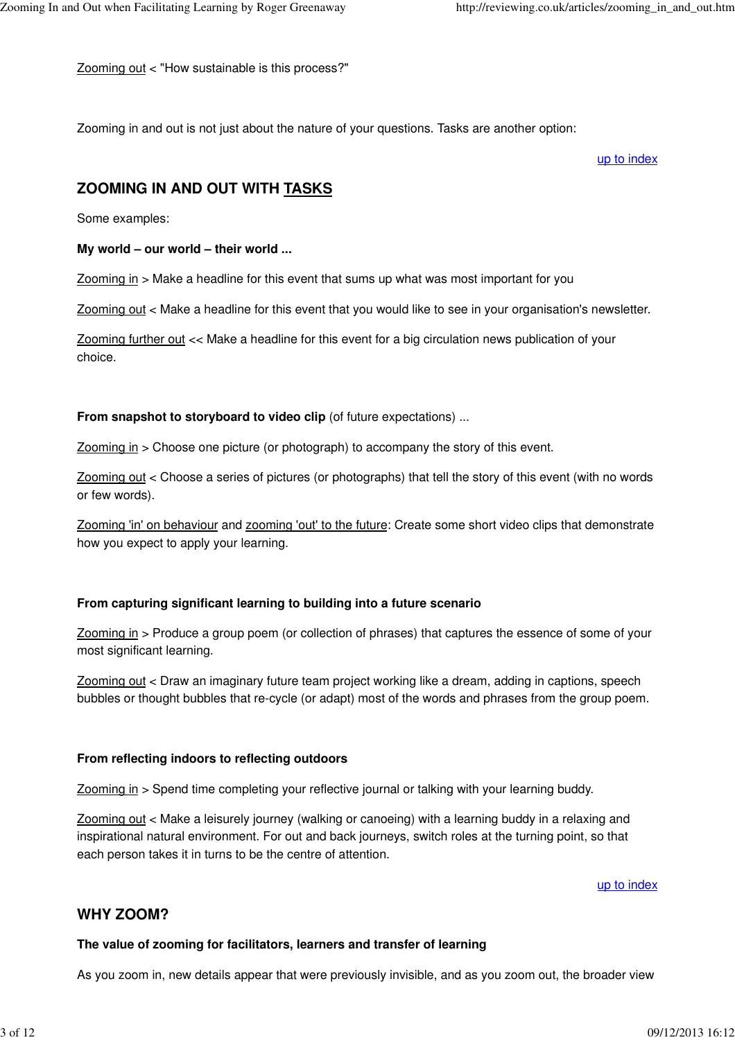Zooming out < "How sustainable is this process?"

Zooming in and out is not just about the nature of your questions. Tasks are another option:

up to index

## **ZOOMING IN AND OUT WITH TASKS**

Some examples:

#### **My world – our world – their world ...**

Zooming in > Make a headline for this event that sums up what was most important for you

Zooming out < Make a headline for this event that you would like to see in your organisation's newsletter.

Zooming further out << Make a headline for this event for a big circulation news publication of your choice.

**From snapshot to storyboard to video clip** (of future expectations) ...

Zooming in > Choose one picture (or photograph) to accompany the story of this event.

Zooming out < Choose a series of pictures (or photographs) that tell the story of this event (with no words or few words).

Zooming 'in' on behaviour and zooming 'out' to the future: Create some short video clips that demonstrate how you expect to apply your learning.

### **From capturing significant learning to building into a future scenario**

Zooming in > Produce a group poem (or collection of phrases) that captures the essence of some of your most significant learning.

Zooming out < Draw an imaginary future team project working like a dream, adding in captions, speech bubbles or thought bubbles that re-cycle (or adapt) most of the words and phrases from the group poem.

### **From reflecting indoors to reflecting outdoors**

Zooming in > Spend time completing your reflective journal or talking with your learning buddy.

Zooming out < Make a leisurely journey (walking or canoeing) with a learning buddy in a relaxing and inspirational natural environment. For out and back journeys, switch roles at the turning point, so that each person takes it in turns to be the centre of attention.

up to index

### **WHY ZOOM?**

#### **The value of zooming for facilitators, learners and transfer of learning**

As you zoom in, new details appear that were previously invisible, and as you zoom out, the broader view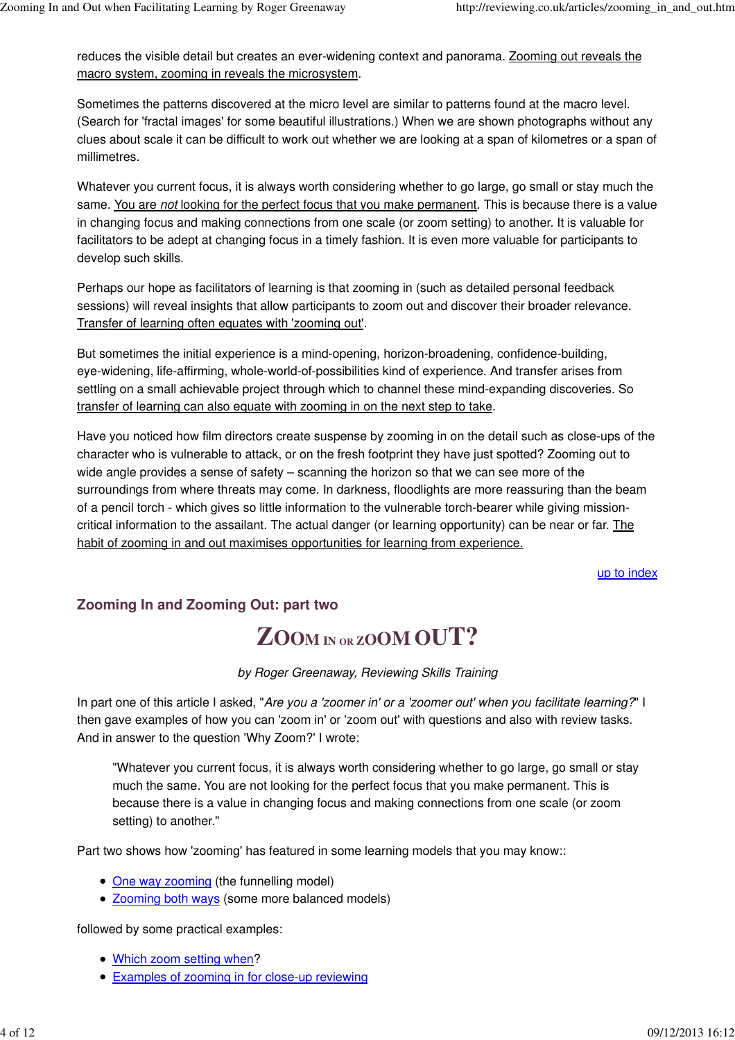reduces the visible detail but creates an ever-widening context and panorama. Zooming out reveals the macro system, zooming in reveals the microsystem.

Sometimes the patterns discovered at the micro level are similar to patterns found at the macro level. (Search for 'fractal images' for some beautiful illustrations.) When we are shown photographs without any clues about scale it can be difficult to work out whether we are looking at a span of kilometres or a span of millimetres.

Whatever you current focus, it is always worth considering whether to go large, go small or stay much the same. You are not looking for the perfect focus that you make permanent. This is because there is a value in changing focus and making connections from one scale (or zoom setting) to another. It is valuable for facilitators to be adept at changing focus in a timely fashion. It is even more valuable for participants to develop such skills.

Perhaps our hope as facilitators of learning is that zooming in (such as detailed personal feedback sessions) will reveal insights that allow participants to zoom out and discover their broader relevance. Transfer of learning often equates with 'zooming out'.

But sometimes the initial experience is a mind-opening, horizon-broadening, confidence-building, eye-widening, life-affirming, whole-world-of-possibilities kind of experience. And transfer arises from settling on a small achievable project through which to channel these mind-expanding discoveries. So transfer of learning can also equate with zooming in on the next step to take.

Have you noticed how film directors create suspense by zooming in on the detail such as close-ups of the character who is vulnerable to attack, or on the fresh footprint they have just spotted? Zooming out to wide angle provides a sense of safety – scanning the horizon so that we can see more of the surroundings from where threats may come. In darkness, floodlights are more reassuring than the beam of a pencil torch - which gives so little information to the vulnerable torch-bearer while giving missioncritical information to the assailant. The actual danger (or learning opportunity) can be near or far. The habit of zooming in and out maximises opportunities for learning from experience.

up to index

# **Zooming In and Zooming Out: part two**

# **ZOOM I<sup>N</sup> OR <sup>Z</sup>OOM OUT?**

by Roger Greenaway, Reviewing Skills Training

In part one of this article I asked, "Are you a 'zoomer in' or a 'zoomer out' when you facilitate learning?" I then gave examples of how you can 'zoom in' or 'zoom out' with questions and also with review tasks. And in answer to the question 'Why Zoom?' I wrote:

"Whatever you current focus, it is always worth considering whether to go large, go small or stay much the same. You are not looking for the perfect focus that you make permanent. This is because there is a value in changing focus and making connections from one scale (or zoom setting) to another."

Part two shows how 'zooming' has featured in some learning models that you may know::

- One way zooming (the funnelling model)
- Zooming both ways (some more balanced models)

followed by some practical examples:

- Which zoom setting when?
- Examples of zooming in for close-up reviewing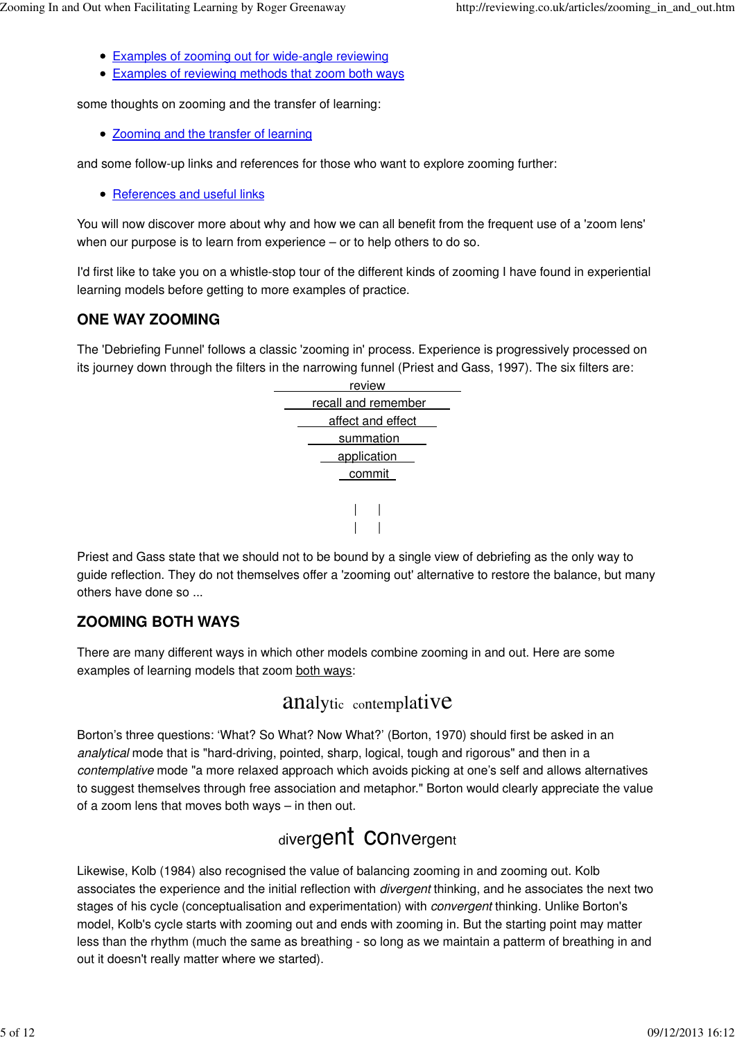- Examples of zooming out for wide-angle reviewing
- Examples of reviewing methods that zoom both ways

some thoughts on zooming and the transfer of learning:

• Zooming and the transfer of learning

and some follow-up links and references for those who want to explore zooming further:

• References and useful links

You will now discover more about why and how we can all benefit from the frequent use of a 'zoom lens' when our purpose is to learn from experience – or to help others to do so.

I'd first like to take you on a whistle-stop tour of the different kinds of zooming I have found in experiential learning models before getting to more examples of practice.

## **ONE WAY ZOOMING**

The 'Debriefing Funnel' follows a classic 'zooming in' process. Experience is progressively processed on its journey down through the filters in the narrowing funnel (Priest and Gass, 1997). The six filters are:

| review              |  |  |
|---------------------|--|--|
| recall and remember |  |  |
| affect and effect   |  |  |
| summation           |  |  |
| application         |  |  |
| commit              |  |  |
|                     |  |  |
|                     |  |  |
|                     |  |  |
|                     |  |  |

Priest and Gass state that we should not to be bound by a single view of debriefing as the only way to guide reflection. They do not themselves offer a 'zooming out' alternative to restore the balance, but many others have done so ...

## **ZOOMING BOTH WAYS**

There are many different ways in which other models combine zooming in and out. Here are some examples of learning models that zoom both ways:

# analytic contemplative

Borton's three questions: 'What? So What? Now What?' (Borton, 1970) should first be asked in an analytical mode that is "hard-driving, pointed, sharp, logical, tough and rigorous" and then in a contemplative mode "a more relaxed approach which avoids picking at one's self and allows alternatives to suggest themselves through free association and metaphor." Borton would clearly appreciate the value of a zoom lens that moves both ways – in then out.

# divergent Convergent

Likewise, Kolb (1984) also recognised the value of balancing zooming in and zooming out. Kolb associates the experience and the initial reflection with divergent thinking, and he associates the next two stages of his cycle (conceptualisation and experimentation) with convergent thinking. Unlike Borton's model, Kolb's cycle starts with zooming out and ends with zooming in. But the starting point may matter less than the rhythm (much the same as breathing - so long as we maintain a patterm of breathing in and out it doesn't really matter where we started).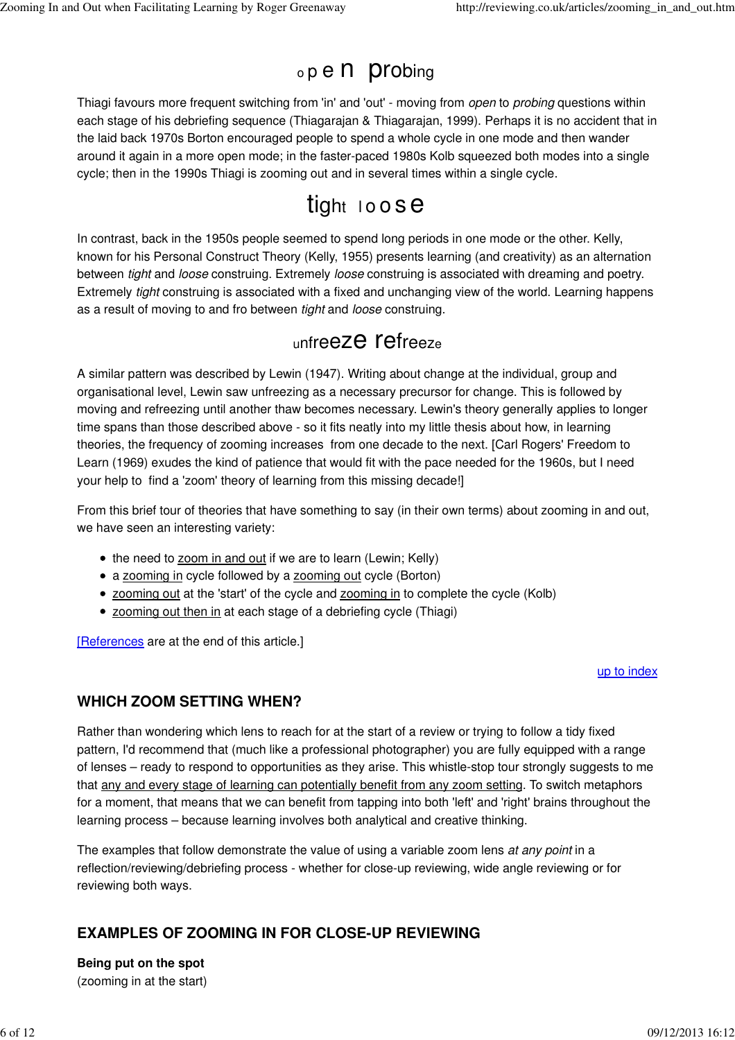# <sup>o</sup>p e n probin<sup>g</sup>

Thiagi favours more frequent switching from 'in' and 'out' - moving from open to probing questions within each stage of his debriefing sequence (Thiagarajan & Thiagarajan, 1999). Perhaps it is no accident that in the laid back 1970s Borton encouraged people to spend a whole cycle in one mode and then wander around it again in a more open mode; in the faster-paced 1980s Kolb squeezed both modes into a single cycle; then in the 1990s Thiagi is zooming out and in several times within a single cycle.

# tight loose

In contrast, back in the 1950s people seemed to spend long periods in one mode or the other. Kelly, known for his Personal Construct Theory (Kelly, 1955) presents learning (and creativity) as an alternation between *tight* and *loose* construing. Extremely *loose* construing is associated with dreaming and poetry. Extremely tight construing is associated with a fixed and unchanging view of the world. Learning happens as a result of moving to and fro between tight and loose construing.

# <sup>u</sup>nfreeze refreez<sup>e</sup>

A similar pattern was described by Lewin (1947). Writing about change at the individual, group and organisational level, Lewin saw unfreezing as a necessary precursor for change. This is followed by moving and refreezing until another thaw becomes necessary. Lewin's theory generally applies to longer time spans than those described above - so it fits neatly into my little thesis about how, in learning theories, the frequency of zooming increases from one decade to the next. [Carl Rogers' Freedom to Learn (1969) exudes the kind of patience that would fit with the pace needed for the 1960s, but I need your help to find a 'zoom' theory of learning from this missing decade!]

From this brief tour of theories that have something to say (in their own terms) about zooming in and out, we have seen an interesting variety:

- the need to zoom in and out if we are to learn (Lewin; Kelly)
- a zooming in cycle followed by a zooming out cycle (Borton)
- zooming out at the 'start' of the cycle and zooming in to complete the cycle (Kolb)
- zooming out then in at each stage of a debriefing cycle (Thiagi)

[References are at the end of this article.]

### up to index

# **WHICH ZOOM SETTING WHEN?**

Rather than wondering which lens to reach for at the start of a review or trying to follow a tidy fixed pattern, I'd recommend that (much like a professional photographer) you are fully equipped with a range of lenses – ready to respond to opportunities as they arise. This whistle-stop tour strongly suggests to me that any and every stage of learning can potentially benefit from any zoom setting. To switch metaphors for a moment, that means that we can benefit from tapping into both 'left' and 'right' brains throughout the learning process – because learning involves both analytical and creative thinking.

The examples that follow demonstrate the value of using a variable zoom lens at any point in a reflection/reviewing/debriefing process - whether for close-up reviewing, wide angle reviewing or for reviewing both ways.

# **EXAMPLES OF ZOOMING IN FOR CLOSE-UP REVIEWING**

**Being put on the spot** (zooming in at the start)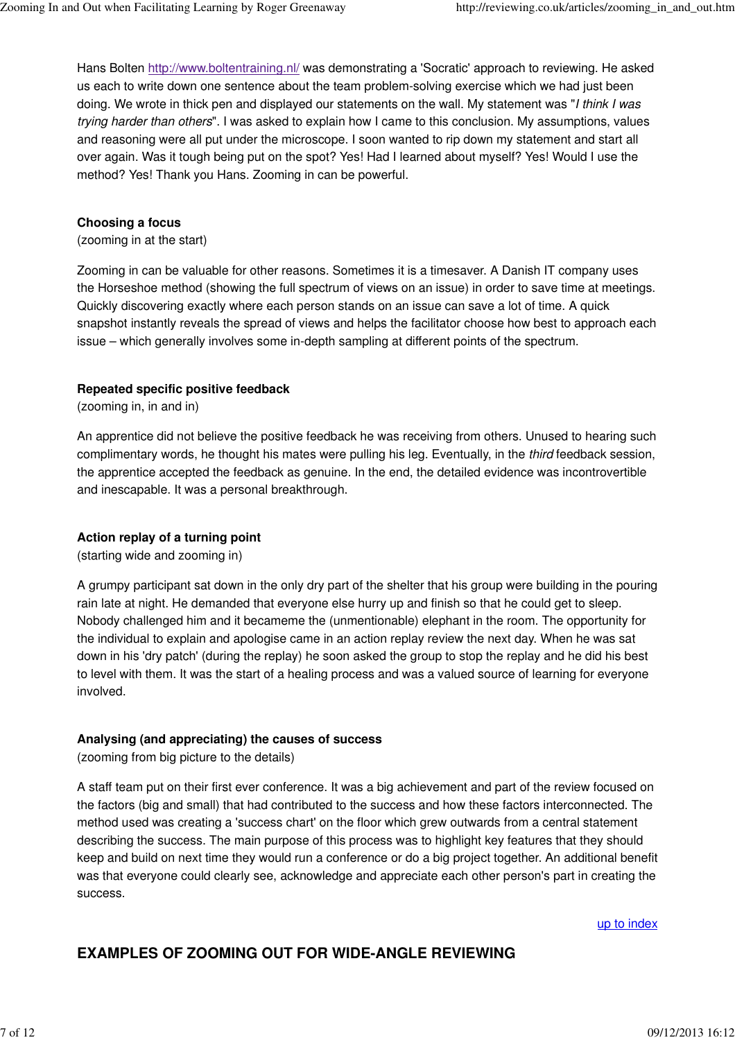Hans Bolten http://www.boltentraining.nl/ was demonstrating a 'Socratic' approach to reviewing. He asked us each to write down one sentence about the team problem-solving exercise which we had just been doing. We wrote in thick pen and displayed our statements on the wall. My statement was "I think I was trying harder than others". I was asked to explain how I came to this conclusion. My assumptions, values and reasoning were all put under the microscope. I soon wanted to rip down my statement and start all over again. Was it tough being put on the spot? Yes! Had I learned about myself? Yes! Would I use the method? Yes! Thank you Hans. Zooming in can be powerful.

### **Choosing a focus**

(zooming in at the start)

Zooming in can be valuable for other reasons. Sometimes it is a timesaver. A Danish IT company uses the Horseshoe method (showing the full spectrum of views on an issue) in order to save time at meetings. Quickly discovering exactly where each person stands on an issue can save a lot of time. A quick snapshot instantly reveals the spread of views and helps the facilitator choose how best to approach each issue – which generally involves some in-depth sampling at different points of the spectrum.

### **Repeated specific positive feedback**

(zooming in, in and in)

An apprentice did not believe the positive feedback he was receiving from others. Unused to hearing such complimentary words, he thought his mates were pulling his leg. Eventually, in the *third* feedback session, the apprentice accepted the feedback as genuine. In the end, the detailed evidence was incontrovertible and inescapable. It was a personal breakthrough.

### **Action replay of a turning point**

(starting wide and zooming in)

A grumpy participant sat down in the only dry part of the shelter that his group were building in the pouring rain late at night. He demanded that everyone else hurry up and finish so that he could get to sleep. Nobody challenged him and it becameme the (unmentionable) elephant in the room. The opportunity for the individual to explain and apologise came in an action replay review the next day. When he was sat down in his 'dry patch' (during the replay) he soon asked the group to stop the replay and he did his best to level with them. It was the start of a healing process and was a valued source of learning for everyone involved.

### **Analysing (and appreciating) the causes of success**

(zooming from big picture to the details)

A staff team put on their first ever conference. It was a big achievement and part of the review focused on the factors (big and small) that had contributed to the success and how these factors interconnected. The method used was creating a 'success chart' on the floor which grew outwards from a central statement describing the success. The main purpose of this process was to highlight key features that they should keep and build on next time they would run a conference or do a big project together. An additional benefit was that everyone could clearly see, acknowledge and appreciate each other person's part in creating the success.

up to index

## **EXAMPLES OF ZOOMING OUT FOR WIDE-ANGLE REVIEWING**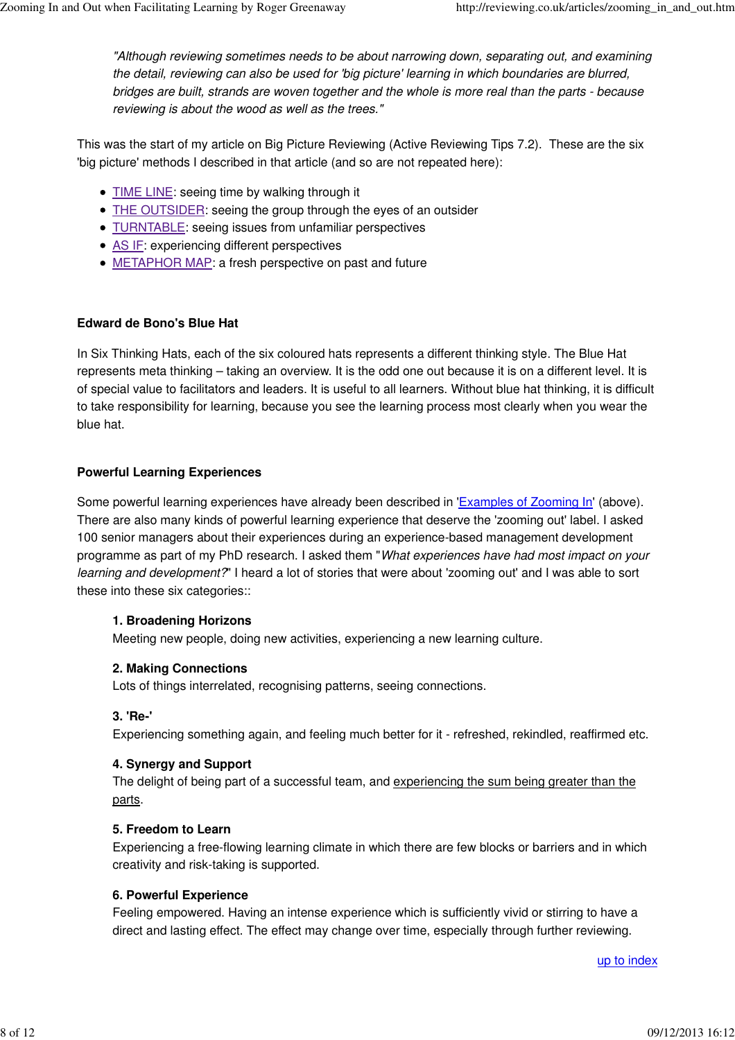"Although reviewing sometimes needs to be about narrowing down, separating out, and examining the detail, reviewing can also be used for 'big picture' learning in which boundaries are blurred, bridges are built, strands are woven together and the whole is more real than the parts - because reviewing is about the wood as well as the trees."

This was the start of my article on Big Picture Reviewing (Active Reviewing Tips 7.2). These are the six 'big picture' methods I described in that article (and so are not repeated here):

- TIME LINE: seeing time by walking through it
- THE OUTSIDER: seeing the group through the eyes of an outsider
- TURNTABLE: seeing issues from unfamiliar perspectives
- AS IF: experiencing different perspectives
- METAPHOR MAP: a fresh perspective on past and future

### **Edward de Bono's Blue Hat**

In Six Thinking Hats, each of the six coloured hats represents a different thinking style. The Blue Hat represents meta thinking – taking an overview. It is the odd one out because it is on a different level. It is of special value to facilitators and leaders. It is useful to all learners. Without blue hat thinking, it is difficult to take responsibility for learning, because you see the learning process most clearly when you wear the blue hat.

### **Powerful Learning Experiences**

Some powerful learning experiences have already been described in 'Examples of Zooming In' (above). There are also many kinds of powerful learning experience that deserve the 'zooming out' label. I asked 100 senior managers about their experiences during an experience-based management development programme as part of my PhD research. I asked them "What experiences have had most impact on your learning and development?" I heard a lot of stories that were about 'zooming out' and I was able to sort these into these six categories::

### **1. Broadening Horizons**

Meeting new people, doing new activities, experiencing a new learning culture.

### **2. Making Connections**

Lots of things interrelated, recognising patterns, seeing connections.

### **3. 'Re-'**

Experiencing something again, and feeling much better for it - refreshed, rekindled, reaffirmed etc.

### **4. Synergy and Support**

The delight of being part of a successful team, and experiencing the sum being greater than the parts.

### **5. Freedom to Learn**

Experiencing a free-flowing learning climate in which there are few blocks or barriers and in which creativity and risk-taking is supported.

### **6. Powerful Experience**

Feeling empowered. Having an intense experience which is sufficiently vivid or stirring to have a direct and lasting effect. The effect may change over time, especially through further reviewing.

up to index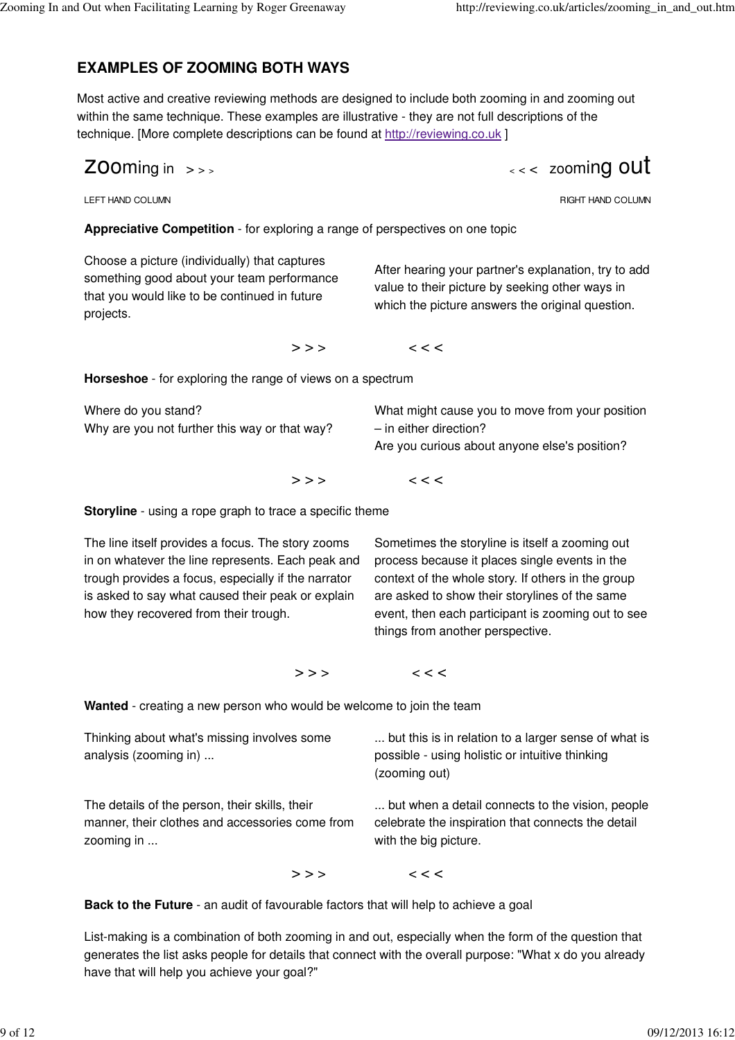# **EXAMPLES OF ZOOMING BOTH WAYS**

Most active and creative reviewing methods are designed to include both zooming in and zooming out within the same technique. These examples are illustrative - they are not full descriptions of the technique. [More complete descriptions can be found at http://reviewing.co.uk ]

$$
Z00ming\ in\ >\ >
$$

<sup>&</sup>lt; <sup>&</sup>lt; < zooming out

LEFT HAND COLUMN

RIGHT HAND COLUMN

**Appreciative Competition** - for exploring a range of perspectives on one topic

Choose a picture (individually) that captures something good about your team performance that you would like to be continued in future projects.

After hearing your partner's explanation, try to add value to their picture by seeking other ways in which the picture answers the original question.

 $>>$  <<<

**Horseshoe** - for exploring the range of views on a spectrum

| Where do you stand?                           | What might cause you to move from your position |
|-----------------------------------------------|-------------------------------------------------|
| Why are you not further this way or that way? | - in either direction?                          |
|                                               | Are you curious about anyone else's position?   |
|                                               |                                                 |

 $>>$  <<<

**Storyline** - using a rope graph to trace a specific theme

The line itself provides a focus. The story zooms in on whatever the line represents. Each peak and trough provides a focus, especially if the narrator is asked to say what caused their peak or explain how they recovered from their trough.

Sometimes the storyline is itself a zooming out process because it places single events in the context of the whole story. If others in the group are asked to show their storylines of the same event, then each participant is zooming out to see things from another perspective.

 $>>$  <<<

**Wanted** - creating a new person who would be welcome to join the team

| Thinking about what's missing involves some<br>analysis (zooming in)                                            | but this is in relation to a larger sense of what is<br>possible - using holistic or intuitive thinking<br>(zooming out)        |
|-----------------------------------------------------------------------------------------------------------------|---------------------------------------------------------------------------------------------------------------------------------|
| The details of the person, their skills, their<br>manner, their clothes and accessories come from<br>zooming in | but when a detail connects to the vision, people<br>celebrate the inspiration that connects the detail<br>with the big picture. |
| >>                                                                                                              | $\,<\,$ $\,<\,$                                                                                                                 |

**Back to the Future** - an audit of favourable factors that will help to achieve a goal

List-making is a combination of both zooming in and out, especially when the form of the question that generates the list asks people for details that connect with the overall purpose: "What x do you already have that will help you achieve your goal?"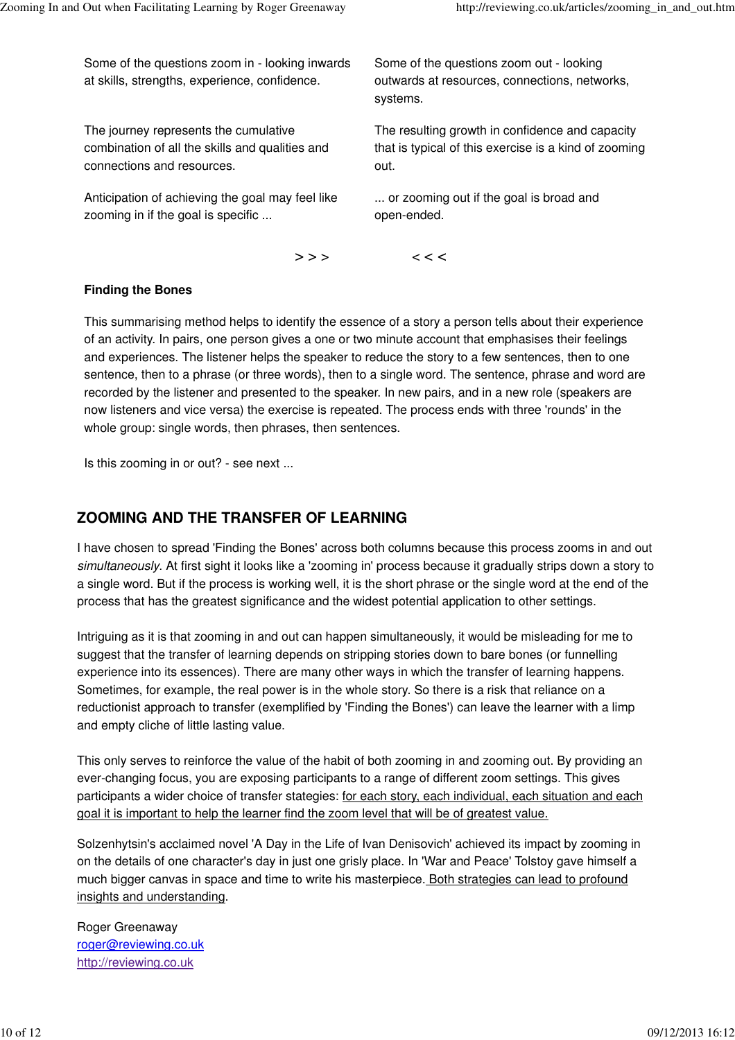Some of the questions zoom in - looking inwards at skills, strengths, experience, confidence.

The journey represents the cumulative combination of all the skills and qualities and connections and resources.

Anticipation of achieving the goal may feel like zooming in if the goal is specific ...

Some of the questions zoom out - looking outwards at resources, connections, networks, systems.

The resulting growth in confidence and capacity that is typical of this exercise is a kind of zooming out.

... or zooming out if the goal is broad and open-ended.

 $>>$  <<<

### **Finding the Bones**

This summarising method helps to identify the essence of a story a person tells about their experience of an activity. In pairs, one person gives a one or two minute account that emphasises their feelings and experiences. The listener helps the speaker to reduce the story to a few sentences, then to one sentence, then to a phrase (or three words), then to a single word. The sentence, phrase and word are recorded by the listener and presented to the speaker. In new pairs, and in a new role (speakers are now listeners and vice versa) the exercise is repeated. The process ends with three 'rounds' in the whole group: single words, then phrases, then sentences.

Is this zooming in or out? - see next ...

# **ZOOMING AND THE TRANSFER OF LEARNING**

I have chosen to spread 'Finding the Bones' across both columns because this process zooms in and out simultaneously. At first sight it looks like a 'zooming in' process because it gradually strips down a story to a single word. But if the process is working well, it is the short phrase or the single word at the end of the process that has the greatest significance and the widest potential application to other settings.

Intriguing as it is that zooming in and out can happen simultaneously, it would be misleading for me to suggest that the transfer of learning depends on stripping stories down to bare bones (or funnelling experience into its essences). There are many other ways in which the transfer of learning happens. Sometimes, for example, the real power is in the whole story. So there is a risk that reliance on a reductionist approach to transfer (exemplified by 'Finding the Bones') can leave the learner with a limp and empty cliche of little lasting value.

This only serves to reinforce the value of the habit of both zooming in and zooming out. By providing an ever-changing focus, you are exposing participants to a range of different zoom settings. This gives participants a wider choice of transfer stategies: for each story, each individual, each situation and each goal it is important to help the learner find the zoom level that will be of greatest value.

Solzenhytsin's acclaimed novel 'A Day in the Life of Ivan Denisovich' achieved its impact by zooming in on the details of one character's day in just one grisly place. In 'War and Peace' Tolstoy gave himself a much bigger canvas in space and time to write his masterpiece. Both strategies can lead to profound insights and understanding.

Roger Greenaway roger@reviewing.co.uk http://reviewing.co.uk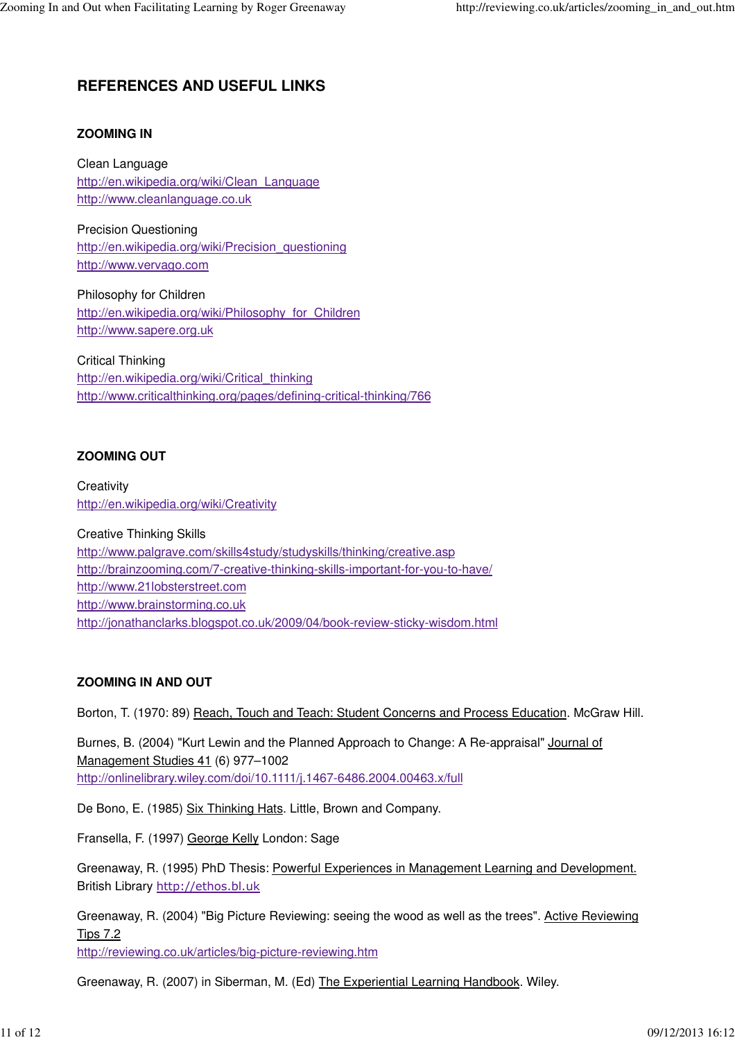# **REFERENCES AND USEFUL LINKS**

### **ZOOMING IN**

Clean Language http://en.wikipedia.org/wiki/Clean\_Language http://www.cleanlanguage.co.uk

Precision Questioning http://en.wikipedia.org/wiki/Precision\_questioning http://www.vervago.com

Philosophy for Children http://en.wikipedia.org/wiki/Philosophy\_for\_Children http://www.sapere.org.uk

Critical Thinking http://en.wikipedia.org/wiki/Critical\_thinking http://www.criticalthinking.org/pages/defining-critical-thinking/766

### **ZOOMING OUT**

**Creativity** http://en.wikipedia.org/wiki/Creativity

Creative Thinking Skills http://www.palgrave.com/skills4study/studyskills/thinking/creative.asp http://brainzooming.com/7-creative-thinking-skills-important-for-you-to-have/ http://www.21lobsterstreet.com http://www.brainstorming.co.uk http://jonathanclarks.blogspot.co.uk/2009/04/book-review-sticky-wisdom.html

### **ZOOMING IN AND OUT**

Borton, T. (1970: 89) Reach, Touch and Teach: Student Concerns and Process Education. McGraw Hill.

Burnes, B. (2004) "Kurt Lewin and the Planned Approach to Change: A Re-appraisal" Journal of Management Studies 41 (6) 977–1002 http://onlinelibrary.wiley.com/doi/10.1111/j.1467-6486.2004.00463.x/full

De Bono, E. (1985) Six Thinking Hats. Little, Brown and Company.

Fransella, F. (1997) George Kelly London: Sage

Greenaway, R. (1995) PhD Thesis: Powerful Experiences in Management Learning and Development. British Library http://ethos.bl.uk

Greenaway, R. (2004) "Big Picture Reviewing: seeing the wood as well as the trees". Active Reviewing Tips 7.2

http://reviewing.co.uk/articles/big-picture-reviewing.htm

Greenaway, R. (2007) in Siberman, M. (Ed) The Experiential Learning Handbook. Wiley.